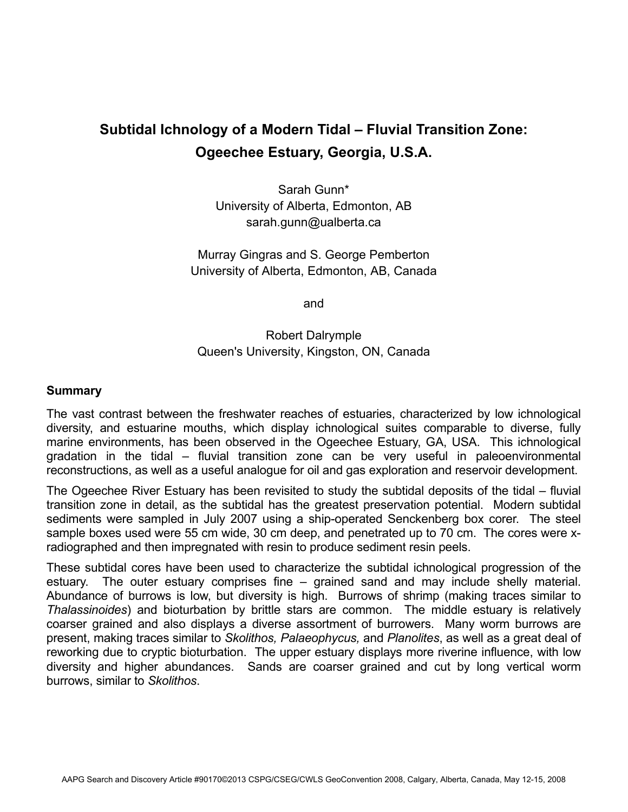## **Subtidal Ichnology of a Modern Tidal – Fluvial Transition Zone: Ogeechee Estuary, Georgia, U.S.A.**

Sarah Gunn\* University of Alberta, Edmonton, AB sarah.gunn@ualberta.ca

Murray Gingras and S. George Pemberton University of Alberta, Edmonton, AB, Canada

and

## Robert Dalrymple Queen's University, Kingston, ON, Canada

## **Summary**

The vast contrast between the freshwater reaches of estuaries, characterized by low ichnological diversity, and estuarine mouths, which display ichnological suites comparable to diverse, fully marine environments, has been observed in the Ogeechee Estuary, GA, USA. This ichnological gradation in the tidal – fluvial transition zone can be very useful in paleoenvironmental reconstructions, as well as a useful analogue for oil and gas exploration and reservoir development.

The Ogeechee River Estuary has been revisited to study the subtidal deposits of the tidal – fluvial transition zone in detail, as the subtidal has the greatest preservation potential. Modern subtidal sediments were sampled in July 2007 using a ship-operated Senckenberg box corer. The steel sample boxes used were 55 cm wide, 30 cm deep, and penetrated up to 70 cm. The cores were xradiographed and then impregnated with resin to produce sediment resin peels.

These subtidal cores have been used to characterize the subtidal ichnological progression of the estuary. The outer estuary comprises fine – grained sand and may include shelly material. Abundance of burrows is low, but diversity is high. Burrows of shrimp (making traces similar to *Thalassinoides*) and bioturbation by brittle stars are common. The middle estuary is relatively coarser grained and also displays a diverse assortment of burrowers. Many worm burrows are present, making traces similar to *Skolithos, Palaeophycus,* and *Planolites*, as well as a great deal of reworking due to cryptic bioturbation. The upper estuary displays more riverine influence, with low diversity and higher abundances. Sands are coarser grained and cut by long vertical worm burrows, similar to *Skolithos*.